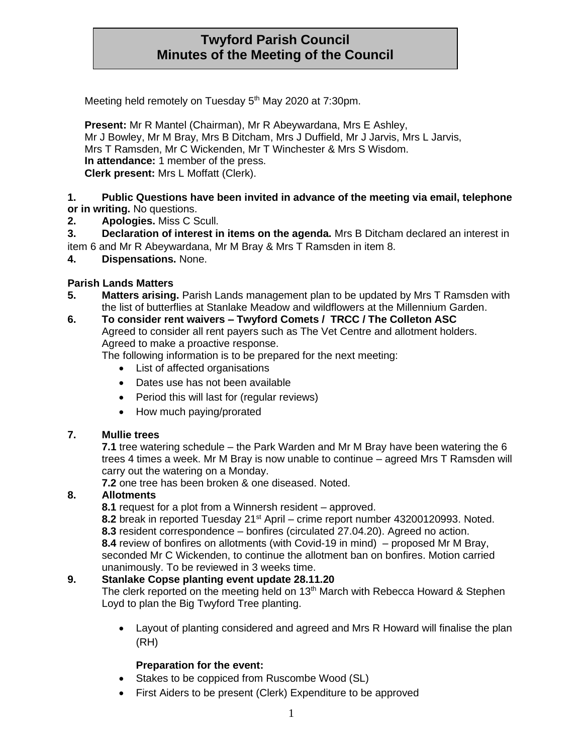# **Twyford Parish Council Minutes of the Meeting of the Council**

Meeting held remotely on Tuesday 5<sup>th</sup> May 2020 at 7:30pm.

**Present:** Mr R Mantel (Chairman), Mr R Abeywardana, Mrs E Ashley, Mr J Bowley, Mr M Bray, Mrs B Ditcham, Mrs J Duffield, Mr J Jarvis, Mrs L Jarvis, Mrs T Ramsden, Mr C Wickenden, Mr T Winchester & Mrs S Wisdom. **In attendance:** 1 member of the press. **Clerk present:** Mrs L Moffatt (Clerk).

### **1. Public Questions have been invited in advance of the meeting via email, telephone or in writing.** No questions.

- **2. Apologies.** Miss C Scull.
- **3. Declaration of interest in items on the agenda.** Mrs B Ditcham declared an interest in
- item 6 and Mr R Abeywardana, Mr M Bray & Mrs T Ramsden in item 8.
- **4. Dispensations.** None.

### **Parish Lands Matters**

**5. Matters arising.** Parish Lands management plan to be updated by Mrs T Ramsden with the list of butterflies at Stanlake Meadow and wildflowers at the Millennium Garden.

#### **6. To consider rent waivers – Twyford Comets / TRCC / The Colleton ASC** Agreed to consider all rent payers such as The Vet Centre and allotment holders. Agreed to make a proactive response.

The following information is to be prepared for the next meeting:

- List of affected organisations
- Dates use has not been available
- Period this will last for (regular reviews)
- How much paying/prorated

#### **7. Mullie trees**

**7.1** tree watering schedule – the Park Warden and Mr M Bray have been watering the 6 trees 4 times a week. Mr M Bray is now unable to continue – agreed Mrs T Ramsden will carry out the watering on a Monday.

**7.2** one tree has been broken & one diseased. Noted.

#### **8. Allotments**

**8.1** request for a plot from a Winnersh resident – approved.

**8.2** break in reported Tuesday 21st April – crime report number 43200120993. Noted. **8.3** resident correspondence – bonfires (circulated 27.04.20). Agreed no action. **8.4** review of bonfires on allotments (with Covid-19 in mind) – proposed Mr M Bray, seconded Mr C Wickenden, to continue the allotment ban on bonfires. Motion carried unanimously. To be reviewed in 3 weeks time.

### **9. Stanlake Copse planting event update 28.11.20**

The clerk reported on the meeting held on 13<sup>th</sup> March with Rebecca Howard & Stephen Loyd to plan the Big Twyford Tree planting.

• Layout of planting considered and agreed and Mrs R Howard will finalise the plan (RH)

### **Preparation for the event:**

- Stakes to be coppiced from Ruscombe Wood (SL)
- First Aiders to be present (Clerk) Expenditure to be approved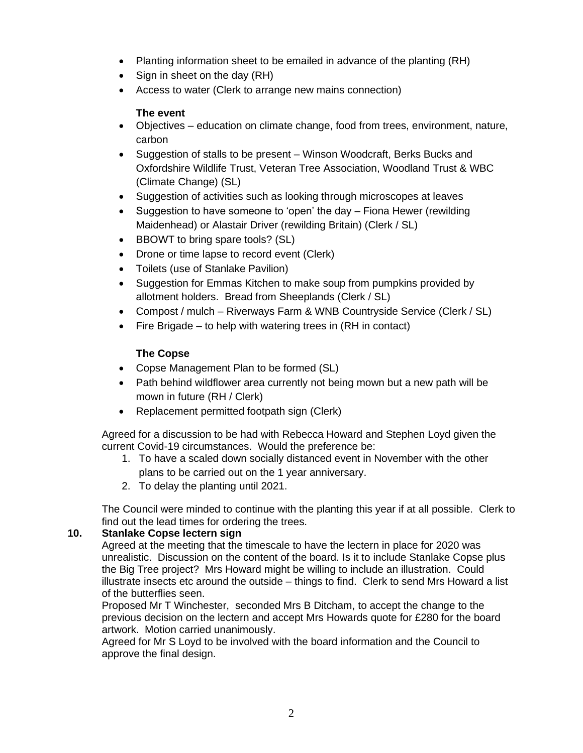- Planting information sheet to be emailed in advance of the planting (RH)
- Sign in sheet on the day (RH)
- Access to water (Clerk to arrange new mains connection)

### **The event**

- Objectives education on climate change, food from trees, environment, nature, carbon
- Suggestion of stalls to be present Winson Woodcraft, Berks Bucks and Oxfordshire Wildlife Trust, Veteran Tree Association, Woodland Trust & WBC (Climate Change) (SL)
- Suggestion of activities such as looking through microscopes at leaves
- Suggestion to have someone to 'open' the day Fiona Hewer (rewilding Maidenhead) or Alastair Driver (rewilding Britain) (Clerk / SL)
- BBOWT to bring spare tools? (SL)
- Drone or time lapse to record event (Clerk)
- Toilets (use of Stanlake Pavilion)
- Suggestion for Emmas Kitchen to make soup from pumpkins provided by allotment holders. Bread from Sheeplands (Clerk / SL)
- Compost / mulch Riverways Farm & WNB Countryside Service (Clerk / SL)
- Fire Brigade to help with watering trees in (RH in contact)

### **The Copse**

- Copse Management Plan to be formed (SL)
- Path behind wildflower area currently not being mown but a new path will be mown in future (RH / Clerk)
- Replacement permitted footpath sign (Clerk)

Agreed for a discussion to be had with Rebecca Howard and Stephen Loyd given the current Covid-19 circumstances. Would the preference be:

- 1. To have a scaled down socially distanced event in November with the other plans to be carried out on the 1 year anniversary.
- 2. To delay the planting until 2021.

The Council were minded to continue with the planting this year if at all possible. Clerk to find out the lead times for ordering the trees.

### **10. Stanlake Copse lectern sign**

Agreed at the meeting that the timescale to have the lectern in place for 2020 was unrealistic. Discussion on the content of the board. Is it to include Stanlake Copse plus the Big Tree project? Mrs Howard might be willing to include an illustration. Could illustrate insects etc around the outside – things to find. Clerk to send Mrs Howard a list of the butterflies seen.

Proposed Mr T Winchester, seconded Mrs B Ditcham, to accept the change to the previous decision on the lectern and accept Mrs Howards quote for £280 for the board artwork. Motion carried unanimously.

Agreed for Mr S Loyd to be involved with the board information and the Council to approve the final design.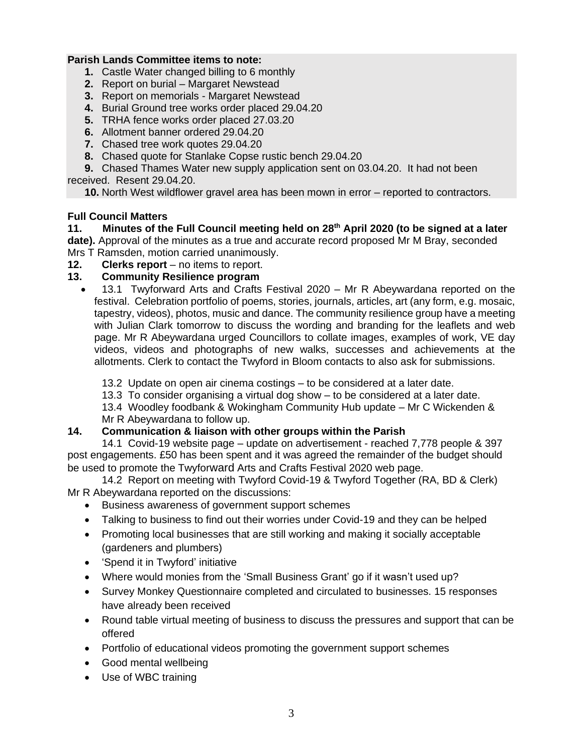### **Parish Lands Committee items to note:**

- **1.** Castle Water changed billing to 6 monthly
- **2.** Report on burial Margaret Newstead
- **3.** Report on memorials Margaret Newstead
- **4.** Burial Ground tree works order placed 29.04.20
- **5.** TRHA fence works order placed 27.03.20
- **6.** Allotment banner ordered 29.04.20
- **7.** Chased tree work quotes 29.04.20
- **8.** Chased quote for Stanlake Copse rustic bench 29.04.20

**9.** Chased Thames Water new supply application sent on 03.04.20. It had not been received. Resent 29.04.20.

**10.** North West wildflower gravel area has been mown in error – reported to contractors.

### **Full Council Matters**

**11. Minutes of the Full Council meeting held on 28th April 2020 (to be signed at a later date).** Approval of the minutes as a true and accurate record proposed Mr M Bray, seconded Mrs T Ramsden, motion carried unanimously.

**12. Clerks report** – no items to report.

### **13. Community Resilience program**

• 13.1 Twyforward Arts and Crafts Festival 2020 – Mr R Abeywardana reported on the festival. Celebration portfolio of poems, stories, journals, articles, art (any form, e.g. mosaic, tapestry, videos), photos, music and dance. The community resilience group have a meeting with Julian Clark tomorrow to discuss the wording and branding for the leaflets and web page. Mr R Abeywardana urged Councillors to collate images, examples of work, VE day videos, videos and photographs of new walks, successes and achievements at the allotments. Clerk to contact the Twyford in Bloom contacts to also ask for submissions.

13.2 Update on open air cinema costings – to be considered at a later date.

13.3 To consider organising a virtual dog show – to be considered at a later date.

13.4 Woodley foodbank & Wokingham Community Hub update – Mr C Wickenden & Mr R Abeywardana to follow up.

#### **14. Communication & liaison with other groups within the Parish**

14.1 Covid-19 website page – update on advertisement - reached 7,778 people & 397 post engagements. £50 has been spent and it was agreed the remainder of the budget should be used to promote the Twyforward Arts and Crafts Festival 2020 web page.

14.2 Report on meeting with Twyford Covid-19 & Twyford Together (RA, BD & Clerk) Mr R Abeywardana reported on the discussions:

- Business awareness of government support schemes
- Talking to business to find out their worries under Covid-19 and they can be helped
- Promoting local businesses that are still working and making it socially acceptable (gardeners and plumbers)
- 'Spend it in Twyford' initiative
- Where would monies from the 'Small Business Grant' go if it wasn't used up?
- Survey Monkey Questionnaire completed and circulated to businesses. 15 responses have already been received
- Round table virtual meeting of business to discuss the pressures and support that can be offered
- Portfolio of educational videos promoting the government support schemes
- Good mental wellbeing
- Use of WBC training